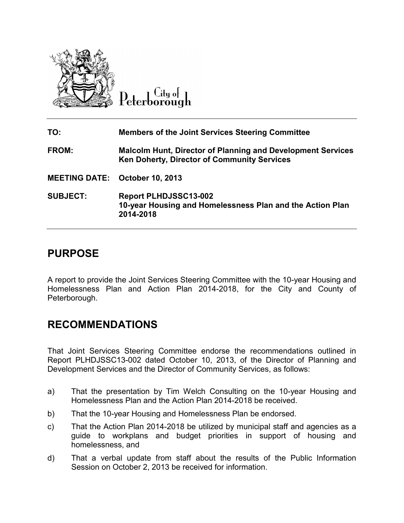

City of Peterborough

**TO: Members of the Joint Services Steering Committee FROM: Malcolm Hunt, Director of Planning and Development Services Ken Doherty, Director of Community Services MEETING DATE: October 10, 2013 SUBJECT: Report PLHDJSSC13-002 10-year Housing and Homelessness Plan and the Action Plan 2014-2018** 

# **PURPOSE**

A report to provide the Joint Services Steering Committee with the 10-year Housing and Homelessness Plan and Action Plan 2014-2018, for the City and County of Peterborough.

## **RECOMMENDATIONS**

That Joint Services Steering Committee endorse the recommendations outlined in Report PLHDJSSC13-002 dated October 10, 2013, of the Director of Planning and Development Services and the Director of Community Services, as follows:

- a) That the presentation by Tim Welch Consulting on the 10-year Housing and Homelessness Plan and the Action Plan 2014-2018 be received.
- b) That the 10-year Housing and Homelessness Plan be endorsed.
- c) That the Action Plan 2014-2018 be utilized by municipal staff and agencies as a guide to workplans and budget priorities in support of housing and homelessness, and
- d) That a verbal update from staff about the results of the Public Information Session on October 2, 2013 be received for information.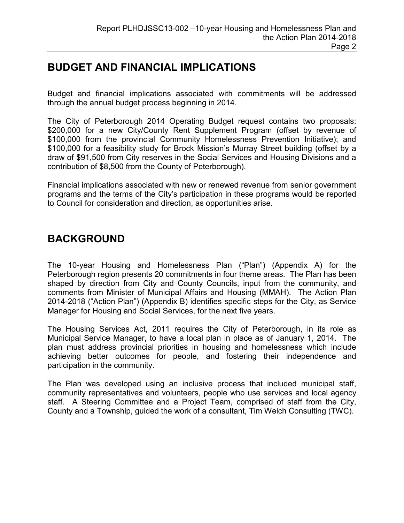### **BUDGET AND FINANCIAL IMPLICATIONS**

Budget and financial implications associated with commitments will be addressed through the annual budget process beginning in 2014.

The City of Peterborough 2014 Operating Budget request contains two proposals: \$200,000 for a new City/County Rent Supplement Program (offset by revenue of \$100,000 from the provincial Community Homelessness Prevention Initiative); and \$100,000 for a feasibility study for Brock Mission's Murray Street building (offset by a draw of \$91,500 from City reserves in the Social Services and Housing Divisions and a contribution of \$8,500 from the County of Peterborough).

Financial implications associated with new or renewed revenue from senior government programs and the terms of the City's participation in these programs would be reported to Council for consideration and direction, as opportunities arise.

# **BACKGROUND**

The 10-year Housing and Homelessness Plan ("Plan") (Appendix A) for the Peterborough region presents 20 commitments in four theme areas. The Plan has been shaped by direction from City and County Councils, input from the community, and comments from Minister of Municipal Affairs and Housing (MMAH). The Action Plan 2014-2018 ("Action Plan") (Appendix B) identifies specific steps for the City, as Service Manager for Housing and Social Services, for the next five years.

The Housing Services Act, 2011 requires the City of Peterborough, in its role as Municipal Service Manager, to have a local plan in place as of January 1, 2014. The plan must address provincial priorities in housing and homelessness which include achieving better outcomes for people, and fostering their independence and participation in the community.

The Plan was developed using an inclusive process that included municipal staff, community representatives and volunteers, people who use services and local agency staff. A Steering Committee and a Project Team, comprised of staff from the City, County and a Township, guided the work of a consultant, Tim Welch Consulting (TWC).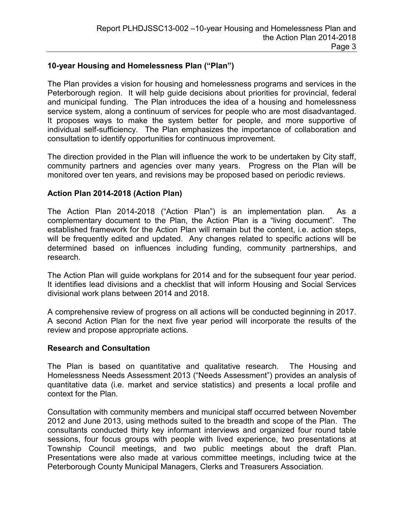### **10-year Housing and Homelessness Plan ("Plan")**

The Plan provides a vision for housing and homelessness programs and services in the Peterborough region. It will help guide decisions about priorities for provincial, federal and municipal funding. The Plan introduces the idea of a housing and homelessness service system, along a continuum of services for people who are most disadvantaged. It proposes ways to make the system better for people, and more supportive of individual self-sufficiency. The Plan emphasizes the importance of collaboration and consultation to identify opportunities for continuous improvement.

The direction provided in the Plan will influence the work to be undertaken by City staff, community partners and agencies over many years. Progress on the Plan will be monitored over ten years, and revisions may be proposed based on periodic reviews.

#### **Action Plan 2014-2018 (Action Plan)**

The Action Plan 2014-2018 ("Action Plan") is an implementation plan. As a complementary document to the Plan, the Action Plan is a "living document". The established framework for the Action Plan will remain but the content, i.e. action steps, will be frequently edited and updated. Any changes related to specific actions will be determined based on influences including funding, community partnerships, and research.

The Action Plan will guide workplans for 2014 and for the subsequent four year period. It identifies lead divisions and a checklist that will inform Housing and Social Services divisional work plans between 2014 and 2018.

A comprehensive review of progress on all actions will be conducted beginning in 2017. A second Action Plan for the next five year period will incorporate the results of the review and propose appropriate actions.

#### **Research and Consultation**

The Plan is based on quantitative and qualitative research. The Housing and Homelessness Needs Assessment 2013 ("Needs Assessment") provides an analysis of quantitative data (i.e. market and service statistics) and presents a local profile and context for the Plan.

Consultation with community members and municipal staff occurred between November 2012 and June 2013, using methods suited to the breadth and scope of the Plan. The consultants conducted thirty key informant interviews and organized four round table sessions, four focus groups with people with lived experience, two presentations at Township Council meetings, and two public meetings about the draft Plan. Presentations were also made at various committee meetings, including twice at the Peterborough County Municipal Managers, Clerks and Treasurers Association.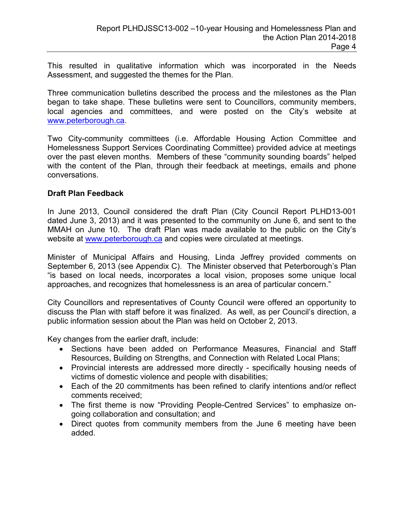This resulted in qualitative information which was incorporated in the Needs Assessment, and suggested the themes for the Plan.

Three communication bulletins described the process and the milestones as the Plan began to take shape. These bulletins were sent to Councillors, community members, local agencies and committees, and were posted on the City's website at [www.peterborough.ca.](http://www.peterborough.ca/) 

Two City-community committees (i.e. Affordable Housing Action Committee and Homelessness Support Services Coordinating Committee) provided advice at meetings over the past eleven months. Members of these "community sounding boards" helped with the content of the Plan, through their feedback at meetings, emails and phone conversations.

### **Draft Plan Feedback**

In June 2013, Council considered the draft Plan (City Council Report PLHD13-001 dated June 3, 2013) and it was presented to the community on June 6, and sent to the MMAH on June 10. The draft Plan was made available to the public on the City's website at [www.peterborough.ca an](http://www.peterborough.ca/)d copies were circulated at meetings.

Minister of Municipal Affairs and Housing, Linda Jeffrey provided comments on September 6, 2013 (see Appendix C). The Minister observed that Peterborough's Plan "is based on local needs, incorporates a local vision, proposes some unique local approaches, and recognizes that homelessness is an area of particular concern."

City Councillors and representatives of County Council were offered an opportunity to discuss the Plan with staff before it was finalized. As well, as per Council's direction, a public information session about the Plan was held on October 2, 2013.

Key changes from the earlier draft, include:

- Sections have been added on Performance Measures, Financial and Staff Resources, Building on Strengths, and Connection with Related Local Plans;
- Provincial interests are addressed more directly specifically housing needs of victims of domestic violence and people with disabilities;
- Each of the 20 commitments has been refined to clarify intentions and/or reflect comments received;
- The first theme is now "Providing People-Centred Services" to emphasize ongoing collaboration and consultation; and
- Direct quotes from community members from the June 6 meeting have been added.